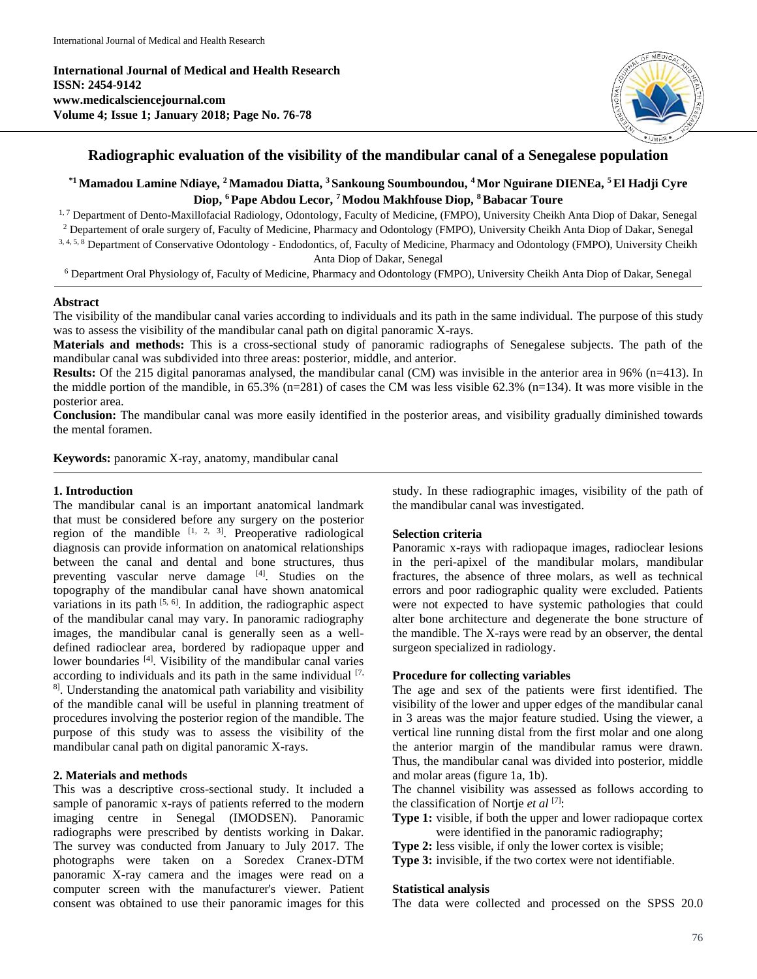**International Journal of Medical and Health Research ISSN: 2454-9142 www.medicalsciencejournal.com Volume 4; Issue 1; January 2018; Page No. 76-78**



## **Radiographic evaluation of the visibility of the mandibular canal of a Senegalese population**

**\*1 Mamadou Lamine Ndiaye, <sup>2</sup>Mamadou Diatta, <sup>3</sup>Sankoung Soumboundou, <sup>4</sup>Mor Nguirane DIENEa, <sup>5</sup>El Hadji Cyre Diop, <sup>6</sup>Pape Abdou Lecor, <sup>7</sup>Modou Makhfouse Diop, <sup>8</sup>Babacar Toure**

<sup>1,7</sup> Department of Dento-Maxillofacial Radiology, Odontology, Faculty of Medicine, (FMPO), University Cheikh Anta Diop of Dakar, Senegal

<sup>2</sup> Departement of orale surgery of, Faculty of Medicine, Pharmacy and Odontology (FMPO), University Cheikh Anta Diop of Dakar, Senegal 3, 4, 5, 8 Department of Conservative Odontology - Endodontics, of, Faculty of Medicine, Pharmacy and Odontology (FMPO), University Cheikh

Anta Diop of Dakar, Senegal

<sup>6</sup> Department Oral Physiology of, Faculty of Medicine, Pharmacy and Odontology (FMPO), University Cheikh Anta Diop of Dakar, Senegal

#### **Abstract**

The visibility of the mandibular canal varies according to individuals and its path in the same individual. The purpose of this study was to assess the visibility of the mandibular canal path on digital panoramic X-rays.

**Materials and methods:** This is a cross-sectional study of panoramic radiographs of Senegalese subjects. The path of the mandibular canal was subdivided into three areas: posterior, middle, and anterior.

**Results:** Of the 215 digital panoramas analysed, the mandibular canal (CM) was invisible in the anterior area in 96% (n=413). In the middle portion of the mandible, in 65.3% (n=281) of cases the CM was less visible 62.3% (n=134). It was more visible in the posterior area.

**Conclusion:** The mandibular canal was more easily identified in the posterior areas, and visibility gradually diminished towards the mental foramen.

**Keywords:** panoramic X-ray, anatomy, mandibular canal

### **1. Introduction**

The mandibular canal is an important anatomical landmark that must be considered before any surgery on the posterior region of the mandible  $[1, 2, 3]$ . Preoperative radiological diagnosis can provide information on anatomical relationships between the canal and dental and bone structures, thus preventing vascular nerve damage [4]. Studies on the topography of the mandibular canal have shown anatomical variations in its path  $[5, 6]$ . In addition, the radiographic aspect of the mandibular canal may vary. In panoramic radiography images, the mandibular canal is generally seen as a welldefined radioclear area, bordered by radiopaque upper and lower boundaries <sup>[4]</sup>. Visibility of the mandibular canal varies according to individuals and its path in the same individual  $[7, 6]$ 8]. Understanding the anatomical path variability and visibility of the mandible canal will be useful in planning treatment of procedures involving the posterior region of the mandible. The purpose of this study was to assess the visibility of the mandibular canal path on digital panoramic X-rays.

### **2. Materials and methods**

This was a descriptive cross-sectional study. It included a sample of panoramic x-rays of patients referred to the modern imaging centre in Senegal (IMODSEN). Panoramic radiographs were prescribed by dentists working in Dakar. The survey was conducted from January to July 2017. The photographs were taken on a Soredex Cranex-DTM panoramic X-ray camera and the images were read on a computer screen with the manufacturer's viewer. Patient consent was obtained to use their panoramic images for this study. In these radiographic images, visibility of the path of the mandibular canal was investigated.

### **Selection criteria**

Panoramic x-rays with radiopaque images, radioclear lesions in the peri-apixel of the mandibular molars, mandibular fractures, the absence of three molars, as well as technical errors and poor radiographic quality were excluded. Patients were not expected to have systemic pathologies that could alter bone architecture and degenerate the bone structure of the mandible. The X-rays were read by an observer, the dental surgeon specialized in radiology.

#### **Procedure for collecting variables**

The age and sex of the patients were first identified. The visibility of the lower and upper edges of the mandibular canal in 3 areas was the major feature studied. Using the viewer, a vertical line running distal from the first molar and one along the anterior margin of the mandibular ramus were drawn. Thus, the mandibular canal was divided into posterior, middle and molar areas (figure 1a, 1b).

The channel visibility was assessed as follows according to the classification of Nortje *et al* [7]:

**Type 1:** visible, if both the upper and lower radiopaque cortex were identified in the panoramic radiography;

**Type 2:** less visible, if only the lower cortex is visible;

**Type 3:** invisible, if the two cortex were not identifiable.

#### **Statistical analysis**

The data were collected and processed on the SPSS 20.0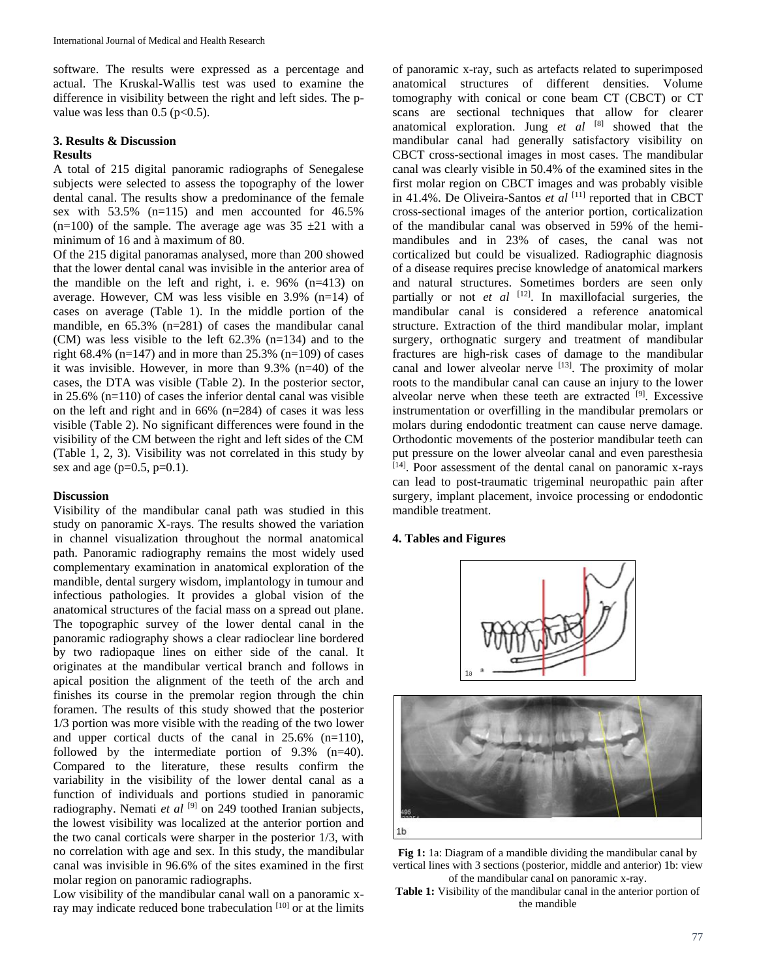software. The results were expressed as a percentage and actual. The Kruskal-Wallis test was used to examine the difference in visibility between the right and left sides. The pvalue was less than  $0.5$  ( $p<0.5$ ).

#### **3. Results & Discussion Results**

A total of 215 digital panoramic radiographs of Senegalese subjects were selected to assess the topography of the lower dental canal. The results show a predominance of the female sex with 53.5% (n=115) and men accounted for 46.5% (n=100) of the sample. The average age was  $35 \pm 21$  with a minimum of 16 and à maximum of 80.

Of the 215 digital panoramas analysed, more than 200 showed that the lower dental canal was invisible in the anterior area of the mandible on the left and right, i. e. 96% (n=413) on average. However, CM was less visible en 3.9% (n=14) of cases on average (Table 1). In the middle portion of the mandible, en 65.3% (n=281) of cases the mandibular canal (CM) was less visible to the left 62.3% (n=134) and to the right 68.4% (n=147) and in more than  $25.3\%$  (n=109) of cases it was invisible. However, in more than 9.3% (n=40) of the cases, the DTA was visible (Table 2). In the posterior sector, in 25.6% (n=110) of cases the inferior dental canal was visible on the left and right and in 66% (n=284) of cases it was less visible (Table 2). No significant differences were found in the visibility of the CM between the right and left sides of the CM (Table 1, 2, 3). Visibility was not correlated in this study by sex and age ( $p=0.5$ ,  $p=0.1$ ).

### **Discussion**

Visibility of the mandibular canal path was studied in this study on panoramic X-rays. The results showed the variation in channel visualization throughout the normal anatomical path. Panoramic radiography remains the most widely used complementary examination in anatomical exploration of the mandible, dental surgery wisdom, implantology in tumour and infectious pathologies. It provides a global vision of the anatomical structures of the facial mass on a spread out plane. The topographic survey of the lower dental canal in the panoramic radiography shows a clear radioclear line bordered by two radiopaque lines on either side of the canal. It originates at the mandibular vertical branch and follows in apical position the alignment of the teeth of the arch and finishes its course in the premolar region through the chin foramen. The results of this study showed that the posterior 1/3 portion was more visible with the reading of the two lower and upper cortical ducts of the canal in 25.6% (n=110), followed by the intermediate portion of 9.3% (n=40). Compared to the literature, these results confirm the variability in the visibility of the lower dental canal as a function of individuals and portions studied in panoramic radiography. Nemati *et al* <sup>[9]</sup> on 249 toothed Iranian subjects, the lowest visibility was localized at the anterior portion and the two canal corticals were sharper in the posterior 1/3, with no correlation with age and sex. In this study, the mandibular canal was invisible in 96.6% of the sites examined in the first molar region on panoramic radiographs.

Low visibility of the mandibular canal wall on a panoramic xray may indicate reduced bone trabeculation [10] or at the limits

of panoramic x-ray, such as artefacts related to superimposed anatomical structures of different densities. Volume tomography with conical or cone beam CT (CBCT) or CT scans are sectional techniques that allow for clearer anatomical exploration. Jung *et al* [8] showed that the mandibular canal had generally satisfactory visibility on CBCT cross-sectional images in most cases. The mandibular canal was clearly visible in 50.4% of the examined sites in the first molar region on CBCT images and was probably visible in 41.4%. De Oliveira-Santos et al [11] reported that in CBCT cross-sectional images of the anterior portion, corticalization of the mandibular canal was observed in 59% of the hemimandibules and in 23% of cases, the canal was not corticalized but could be visualized. Radiographic diagnosis of a disease requires precise knowledge of anatomical markers and natural structures. Sometimes borders are seen only partially or not *et al* <sup>[12]</sup>. In maxillofacial surgeries, the mandibular canal is considered a reference anatomical structure. Extraction of the third mandibular molar, implant surgery, orthognatic surgery and treatment of mandibular fractures are high-risk cases of damage to the mandibular canal and lower alveolar nerve [13]. The proximity of molar roots to the mandibular canal can cause an injury to the lower alveolar nerve when these teeth are extracted [9]. Excessive instrumentation or overfilling in the mandibular premolars or molars during endodontic treatment can cause nerve damage. Orthodontic movements of the posterior mandibular teeth can put pressure on the lower alveolar canal and even paresthesia [14]. Poor assessment of the dental canal on panoramic x-rays can lead to post-traumatic trigeminal neuropathic pain after surgery, implant placement, invoice processing or endodontic mandible treatment.

### **4. Tables and Figures**





**Fig 1:** 1a: Diagram of a mandible dividing the mandibular canal by vertical lines with 3 sections (posterior, middle and anterior) 1b: view of the mandibular canal on panoramic x-ray.

**Table 1:** Visibility of the mandibular canal in the anterior portion of the mandible